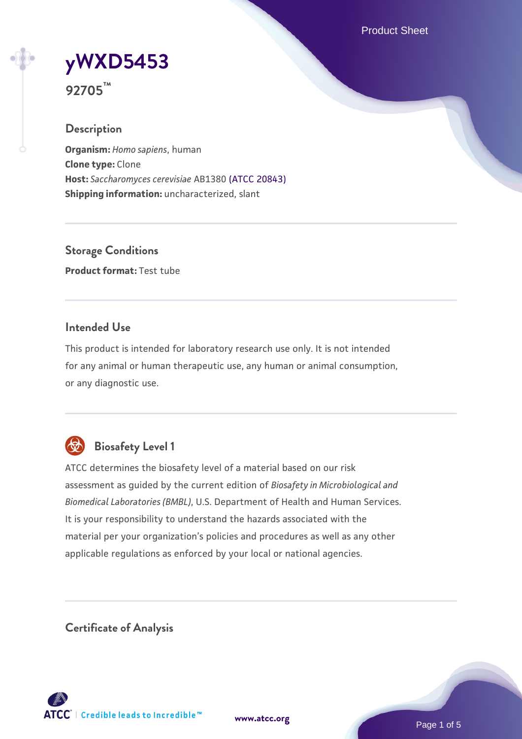Product Sheet

# **[yWXD5453](https://www.atcc.org/products/92705)**

**92705™**

# **Description**

**Organism:** *Homo sapiens*, human **Clone type:** Clone **Host:** *Saccharomyces cerevisiae* AB1380 [\(ATCC 20843\)](https://www.atcc.org/products/20843) **Shipping information:** uncharacterized, slant

**Storage Conditions Product format:** Test tube

# **Intended Use**

This product is intended for laboratory research use only. It is not intended for any animal or human therapeutic use, any human or animal consumption, or any diagnostic use.



# **Biosafety Level 1**

ATCC determines the biosafety level of a material based on our risk assessment as guided by the current edition of *Biosafety in Microbiological and Biomedical Laboratories (BMBL)*, U.S. Department of Health and Human Services. It is your responsibility to understand the hazards associated with the material per your organization's policies and procedures as well as any other applicable regulations as enforced by your local or national agencies.

**Certificate of Analysis**

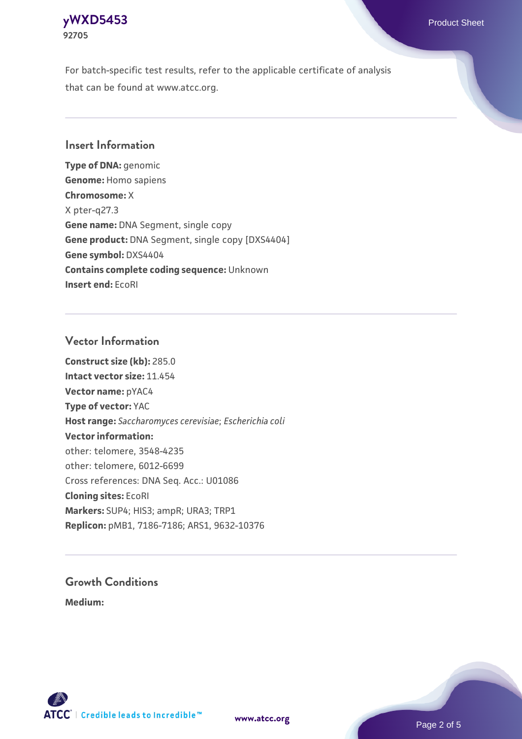#### **[yWXD5453](https://www.atcc.org/products/92705)** Product Sheet **92705**

For batch-specific test results, refer to the applicable certificate of analysis that can be found at www.atcc.org.

# **Insert Information**

**Type of DNA:** genomic **Genome:** Homo sapiens **Chromosome:** X X pter-q27.3 **Gene name:** DNA Segment, single copy **Gene product:** DNA Segment, single copy [DXS4404] **Gene symbol:** DXS4404 **Contains complete coding sequence:** Unknown **Insert end:** EcoRI

# **Vector Information**

**Construct size (kb):** 285.0 **Intact vector size:** 11.454 **Vector name:** pYAC4 **Type of vector:** YAC **Host range:** *Saccharomyces cerevisiae*; *Escherichia coli* **Vector information:** other: telomere, 3548-4235 other: telomere, 6012-6699 Cross references: DNA Seq. Acc.: U01086 **Cloning sites:** EcoRI **Markers:** SUP4; HIS3; ampR; URA3; TRP1 **Replicon:** pMB1, 7186-7186; ARS1, 9632-10376

# **Growth Conditions**

**Medium:** 



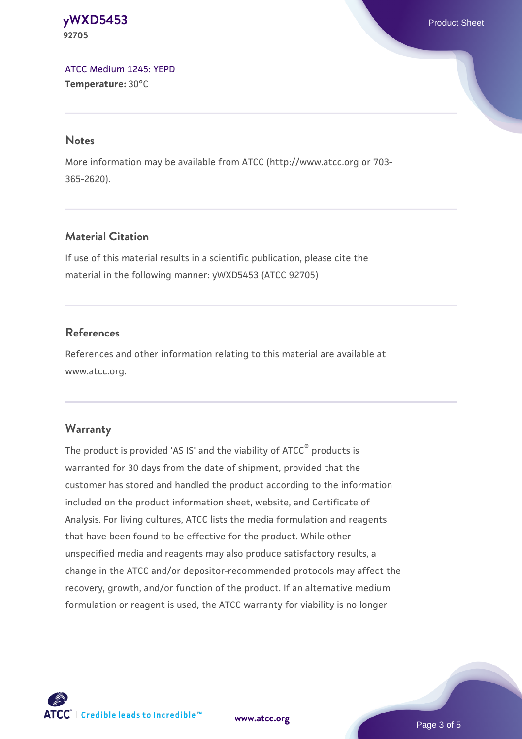#### **[yWXD5453](https://www.atcc.org/products/92705)** Product Sheet **92705**

[ATCC Medium 1245: YEPD](https://www.atcc.org/-/media/product-assets/documents/microbial-media-formulations/1/2/4/5/atcc-medium-1245.pdf?rev=705ca55d1b6f490a808a965d5c072196) **Temperature:** 30°C

#### **Notes**

More information may be available from ATCC (http://www.atcc.org or 703- 365-2620).

# **Material Citation**

If use of this material results in a scientific publication, please cite the material in the following manner: yWXD5453 (ATCC 92705)

# **References**

References and other information relating to this material are available at www.atcc.org.

#### **Warranty**

The product is provided 'AS IS' and the viability of ATCC® products is warranted for 30 days from the date of shipment, provided that the customer has stored and handled the product according to the information included on the product information sheet, website, and Certificate of Analysis. For living cultures, ATCC lists the media formulation and reagents that have been found to be effective for the product. While other unspecified media and reagents may also produce satisfactory results, a change in the ATCC and/or depositor-recommended protocols may affect the recovery, growth, and/or function of the product. If an alternative medium formulation or reagent is used, the ATCC warranty for viability is no longer



**[www.atcc.org](http://www.atcc.org)**

Page 3 of 5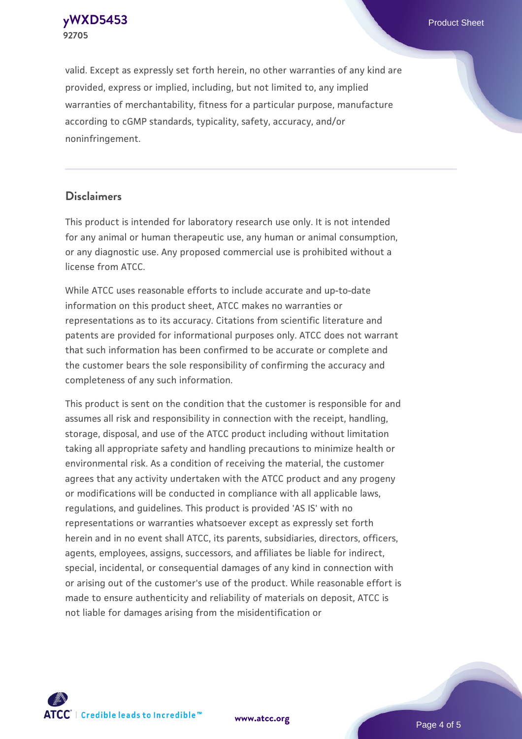**[yWXD5453](https://www.atcc.org/products/92705)** Product Sheet **92705**

valid. Except as expressly set forth herein, no other warranties of any kind are provided, express or implied, including, but not limited to, any implied warranties of merchantability, fitness for a particular purpose, manufacture according to cGMP standards, typicality, safety, accuracy, and/or noninfringement.

#### **Disclaimers**

This product is intended for laboratory research use only. It is not intended for any animal or human therapeutic use, any human or animal consumption, or any diagnostic use. Any proposed commercial use is prohibited without a license from ATCC.

While ATCC uses reasonable efforts to include accurate and up-to-date information on this product sheet, ATCC makes no warranties or representations as to its accuracy. Citations from scientific literature and patents are provided for informational purposes only. ATCC does not warrant that such information has been confirmed to be accurate or complete and the customer bears the sole responsibility of confirming the accuracy and completeness of any such information.

This product is sent on the condition that the customer is responsible for and assumes all risk and responsibility in connection with the receipt, handling, storage, disposal, and use of the ATCC product including without limitation taking all appropriate safety and handling precautions to minimize health or environmental risk. As a condition of receiving the material, the customer agrees that any activity undertaken with the ATCC product and any progeny or modifications will be conducted in compliance with all applicable laws, regulations, and guidelines. This product is provided 'AS IS' with no representations or warranties whatsoever except as expressly set forth herein and in no event shall ATCC, its parents, subsidiaries, directors, officers, agents, employees, assigns, successors, and affiliates be liable for indirect, special, incidental, or consequential damages of any kind in connection with or arising out of the customer's use of the product. While reasonable effort is made to ensure authenticity and reliability of materials on deposit, ATCC is not liable for damages arising from the misidentification or



**[www.atcc.org](http://www.atcc.org)**

Page 4 of 5